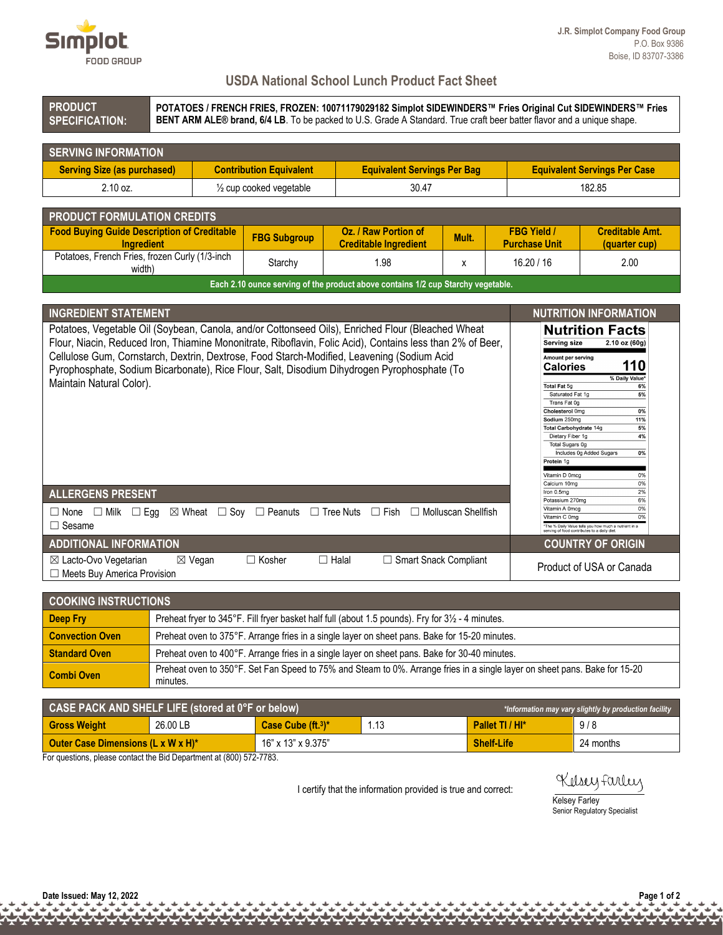

## **USDA National School Lunch Product Fact Sheet**

| <b>PRODUCT</b><br>POTATOES / FRENCH FRIES, FROZEN: 10071179029182 Simplot SIDEWINDERS™ Fries Original Cut SIDEWINDERS™ Fries<br>BENT ARM ALE® brand, 6/4 LB. To be packed to U.S. Grade A Standard. True craft beer batter flavor and a unique shape.<br><b>SPECIFICATION:</b>                                                                                                                                                                                          |  |                          |                                |                                                                          |                                    |       |            |                                                                                                                                                                                                                                                                                                                                                                                                                                                      |                                                                                                                              |  |  |
|-------------------------------------------------------------------------------------------------------------------------------------------------------------------------------------------------------------------------------------------------------------------------------------------------------------------------------------------------------------------------------------------------------------------------------------------------------------------------|--|--------------------------|--------------------------------|--------------------------------------------------------------------------|------------------------------------|-------|------------|------------------------------------------------------------------------------------------------------------------------------------------------------------------------------------------------------------------------------------------------------------------------------------------------------------------------------------------------------------------------------------------------------------------------------------------------------|------------------------------------------------------------------------------------------------------------------------------|--|--|
| <b>SERVING INFORMATION</b>                                                                                                                                                                                                                                                                                                                                                                                                                                              |  |                          |                                |                                                                          |                                    |       |            |                                                                                                                                                                                                                                                                                                                                                                                                                                                      |                                                                                                                              |  |  |
| <b>Serving Size (as purchased)</b>                                                                                                                                                                                                                                                                                                                                                                                                                                      |  |                          | <b>Contribution Equivalent</b> |                                                                          | <b>Equivalent Servings Per Bag</b> |       |            | <b>Equivalent Servings Per Case</b>                                                                                                                                                                                                                                                                                                                                                                                                                  |                                                                                                                              |  |  |
| 2.10 oz.                                                                                                                                                                                                                                                                                                                                                                                                                                                                |  | 1/2 cup cooked vegetable |                                |                                                                          | 30.47                              |       |            | 182.85                                                                                                                                                                                                                                                                                                                                                                                                                                               |                                                                                                                              |  |  |
| <b>PRODUCT FORMULATION CREDITS</b>                                                                                                                                                                                                                                                                                                                                                                                                                                      |  |                          |                                |                                                                          |                                    |       |            |                                                                                                                                                                                                                                                                                                                                                                                                                                                      |                                                                                                                              |  |  |
| <b>Food Buying Guide Description of Creditable</b><br>Ingredient                                                                                                                                                                                                                                                                                                                                                                                                        |  |                          | <b>FBG Subgroup</b>            | <b>Oz. / Raw Portion of</b><br><b>Creditable Ingredient</b>              |                                    | Mult. |            | <b>FBG Yield /</b><br><b>Purchase Unit</b>                                                                                                                                                                                                                                                                                                                                                                                                           | <b>Creditable Amt.</b><br>(quarter cup)                                                                                      |  |  |
| Potatoes, French Fries, frozen Curly (1/3-inch<br>width)                                                                                                                                                                                                                                                                                                                                                                                                                |  |                          | Starchy                        | 1.98                                                                     |                                    | X     | 16.20 / 16 |                                                                                                                                                                                                                                                                                                                                                                                                                                                      | 2.00                                                                                                                         |  |  |
| Each 2.10 ounce serving of the product above contains 1/2 cup Starchy vegetable.                                                                                                                                                                                                                                                                                                                                                                                        |  |                          |                                |                                                                          |                                    |       |            |                                                                                                                                                                                                                                                                                                                                                                                                                                                      |                                                                                                                              |  |  |
| <b>INGREDIENT STATEMENT</b><br>Potatoes, Vegetable Oil (Soybean, Canola, and/or Cottonseed Oils), Enriched Flour (Bleached Wheat<br>Flour, Niacin, Reduced Iron, Thiamine Mononitrate, Riboflavin, Folic Acid), Contains less than 2% of Beer,<br>Cellulose Gum, Cornstarch, Dextrin, Dextrose, Food Starch-Modified, Leavening (Sodium Acid<br>Pyrophosphate, Sodium Bicarbonate), Rice Flour, Salt, Disodium Dihydrogen Pyrophosphate (To<br>Maintain Natural Color). |  |                          |                                |                                                                          |                                    |       |            | <b>NUTRITION INFORMATION</b><br><b>Nutrition Facts</b><br>Serving size<br>2.10 oz (60g)<br>Amount per serving<br>110<br><b>Calories</b><br>% Daily Value*<br>Total Fat 5g<br>6%<br>Saturated Fat 1g<br>5%<br>Trans Fat 0g<br>Cholesterol 0mg<br>0%<br>11%<br>Sodium 250mg<br>Total Carbohydrate 14g<br>5%<br>Dietary Fiber 1g<br>4%<br>Total Sugars 0g<br>Includes 0g Added Sugars<br>0%<br>Protein 1g<br>Vitamin D 0mcg<br>0%<br>Calcium 10mg<br>0% |                                                                                                                              |  |  |
| <b>ALLERGENS PRESENT</b><br>$\Box$ None<br>$\Box$ Milk $\Box$ Egg<br>$\Box$ Sesame                                                                                                                                                                                                                                                                                                                                                                                      |  |                          |                                | $\boxtimes$ Wheat $\Box$ Soy $\Box$ Peanuts $\Box$ Tree Nuts $\Box$ Fish | $\Box$ Molluscan Shellfish         |       |            | Iron 0.5mg<br>Potassium 270mg<br>Vitamin A 0mcg<br>Vitamin C 0mg                                                                                                                                                                                                                                                                                                                                                                                     | 2%<br>6%<br>0%<br>0%<br>The % Daily Value tells you how much a nutrient in a<br>serving of food contributes to a daily diet. |  |  |
| <b>ADDITIONAL INFORMATION</b>                                                                                                                                                                                                                                                                                                                                                                                                                                           |  |                          |                                |                                                                          |                                    |       |            |                                                                                                                                                                                                                                                                                                                                                                                                                                                      | <b>COUNTRY OF ORIGIN</b>                                                                                                     |  |  |
| ⊠ Lacto-Ovo Vegetarian<br>□ Meets Buy America Provision                                                                                                                                                                                                                                                                                                                                                                                                                 |  | $\boxtimes$ Vegan        | $\Box$ Kosher                  | $\Box$ Halal                                                             | $\Box$ Smart Snack Compliant       |       |            |                                                                                                                                                                                                                                                                                                                                                                                                                                                      | Product of USA or Canada                                                                                                     |  |  |

| <b>COOKING INSTRUCTIONS</b> |                                                                                                                                        |  |  |  |  |  |
|-----------------------------|----------------------------------------------------------------------------------------------------------------------------------------|--|--|--|--|--|
| Deep Fry                    | Preheat fryer to 345°F. Fill fryer basket half full (about 1.5 pounds). Fry for 31/2 - 4 minutes.                                      |  |  |  |  |  |
| <b>Convection Oven</b>      | Preheat oven to 375°F. Arrange fries in a single layer on sheet pans. Bake for 15-20 minutes.                                          |  |  |  |  |  |
| <b>Standard Oven</b>        | Preheat oven to 400°F. Arrange fries in a single layer on sheet pans. Bake for 30-40 minutes.                                          |  |  |  |  |  |
| <b>Combi Oven</b>           | Preheat oven to 350°F. Set Fan Speed to 75% and Steam to 0%. Arrange fries in a single layer on sheet pans. Bake for 15-20<br>minutes. |  |  |  |  |  |

| CASE PACK AND SHELF LIFE (stored at $\overline{0^\circ F}$ or below)<br>*Information may vary slightly by production facility |          |                             |  |                   |           |  |  |  |
|-------------------------------------------------------------------------------------------------------------------------------|----------|-----------------------------|--|-------------------|-----------|--|--|--|
| <b>Gross Weight</b>                                                                                                           | 26.00 LB | 1.13<br>Case Cube $(ft13)*$ |  | Pallet TI / HI*   | 9/8       |  |  |  |
| <b>Outer Case Dimensions (L x W x H)*</b>                                                                                     |          | 16" x 13" x 9.375"          |  | <b>Shelf-Life</b> | 24 months |  |  |  |

For questions, please contact the Bid Department at (800) 572-7783.

I certify that the information provided is true and correct:

Kelsey Farley

Kelsey Farley Senior Regulatory Specialist